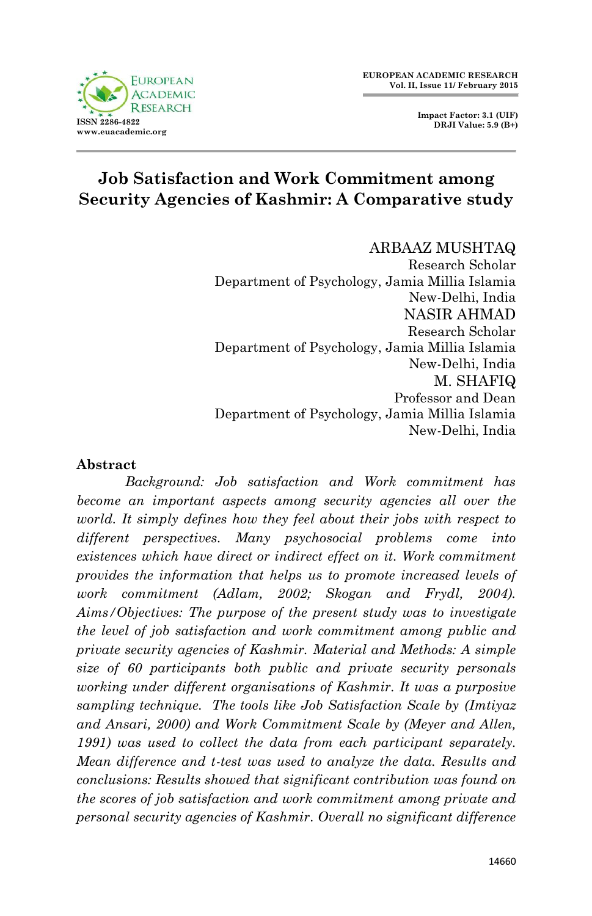

# **Job Satisfaction and Work Commitment among Security Agencies of Kashmir: A Comparative study**

#### ARBAAZ MUSHTAQ

Research Scholar Department of Psychology, Jamia Millia Islamia New-Delhi, India NASIR AHMAD Research Scholar Department of Psychology, Jamia Millia Islamia New-Delhi, India M. SHAFIQ Professor and Dean Department of Psychology, Jamia Millia Islamia New-Delhi, India

#### **Abstract**

*Background: Job satisfaction and Work commitment has become an important aspects among security agencies all over the world. It simply defines how they feel about their jobs with respect to different perspectives. Many psychosocial problems come into existences which have direct or indirect effect on it. Work commitment provides the information that helps us to promote increased levels of work commitment (Adlam, 2002; Skogan and Frydl, 2004). Aims/Objectives: The purpose of the present study was to investigate the level of job satisfaction and work commitment among public and private security agencies of Kashmir. Material and Methods: A simple size of 60 participants both public and private security personals working under different organisations of Kashmir. It was a purposive sampling technique. The tools like Job Satisfaction Scale by (Imtiyaz and Ansari, 2000) and Work Commitment Scale by (Meyer and Allen, 1991) was used to collect the data from each participant separately. Mean difference and t-test was used to analyze the data. Results and conclusions: Results showed that significant contribution was found on the scores of job satisfaction and work commitment among private and personal security agencies of Kashmir. Overall no significant difference*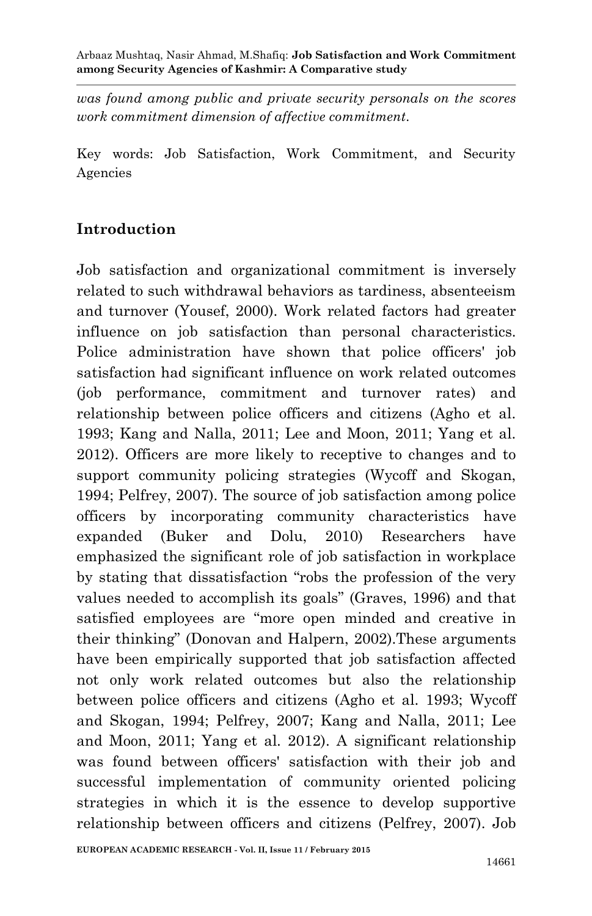*was found among public and private security personals on the scores work commitment dimension of affective commitment.*

Key words: Job Satisfaction, Work Commitment, and Security Agencies

### **Introduction**

Job satisfaction and organizational commitment is inversely related to such withdrawal behaviors as tardiness, absenteeism and turnover (Yousef, 2000). Work related factors had greater influence on job satisfaction than personal characteristics. Police administration have shown that police officers' job satisfaction had significant influence on work related outcomes (job performance, commitment and turnover rates) and relationship between police officers and citizens (Agho et al. 1993; Kang and Nalla, 2011; Lee and Moon, 2011; Yang et al. 2012). Officers are more likely to receptive to changes and to support community policing strategies (Wycoff and Skogan, 1994; Pelfrey, 2007). The source of job satisfaction among police officers by incorporating community characteristics have expanded (Buker and Dolu, 2010) Researchers have emphasized the significant role of job satisfaction in workplace by stating that dissatisfaction "robs the profession of the very values needed to accomplish its goals" (Graves, 1996) and that satisfied employees are "more open minded and creative in their thinking" (Donovan and Halpern, 2002).These arguments have been empirically supported that job satisfaction affected not only work related outcomes but also the relationship between police officers and citizens (Agho et al. 1993; Wycoff and Skogan, 1994; Pelfrey, 2007; Kang and Nalla, 2011; Lee and Moon, 2011; Yang et al. 2012). A significant relationship was found between officers' satisfaction with their job and successful implementation of community oriented policing strategies in which it is the essence to develop supportive relationship between officers and citizens (Pelfrey, 2007). Job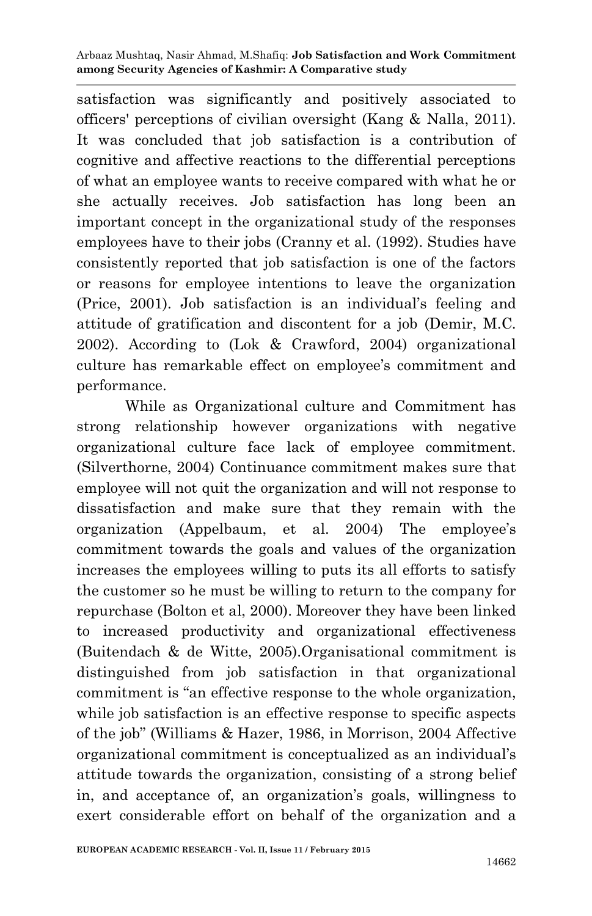satisfaction was significantly and positively associated to officers' perceptions of civilian oversight (Kang & Nalla, 2011). It was concluded that job satisfaction is a contribution of cognitive and affective reactions to the differential perceptions of what an employee wants to receive compared with what he or she actually receives. Job satisfaction has long been an important concept in the organizational study of the responses employees have to their jobs (Cranny et al. (1992). Studies have consistently reported that job satisfaction is one of the factors or reasons for employee intentions to leave the organization (Price, 2001). Job satisfaction is an individual's feeling and attitude of gratification and discontent for a job (Demir, M.C. 2002). According to (Lok & Crawford, 2004) organizational culture has remarkable effect on employee's commitment and performance.

While as Organizational culture and Commitment has strong relationship however organizations with negative organizational culture face lack of employee commitment. (Silverthorne, 2004) Continuance commitment makes sure that employee will not quit the organization and will not response to dissatisfaction and make sure that they remain with the organization (Appelbaum, et al. 2004) The employee's commitment towards the goals and values of the organization increases the employees willing to puts its all efforts to satisfy the customer so he must be willing to return to the company for repurchase (Bolton et al, 2000). Moreover they have been linked to increased productivity and organizational effectiveness (Buitendach & de Witte, 2005).Organisational commitment is distinguished from job satisfaction in that organizational commitment is "an effective response to the whole organization, while job satisfaction is an effective response to specific aspects of the job" (Williams & Hazer, 1986, in Morrison, 2004 Affective organizational commitment is conceptualized as an individual's attitude towards the organization, consisting of a strong belief in, and acceptance of, an organization's goals, willingness to exert considerable effort on behalf of the organization and a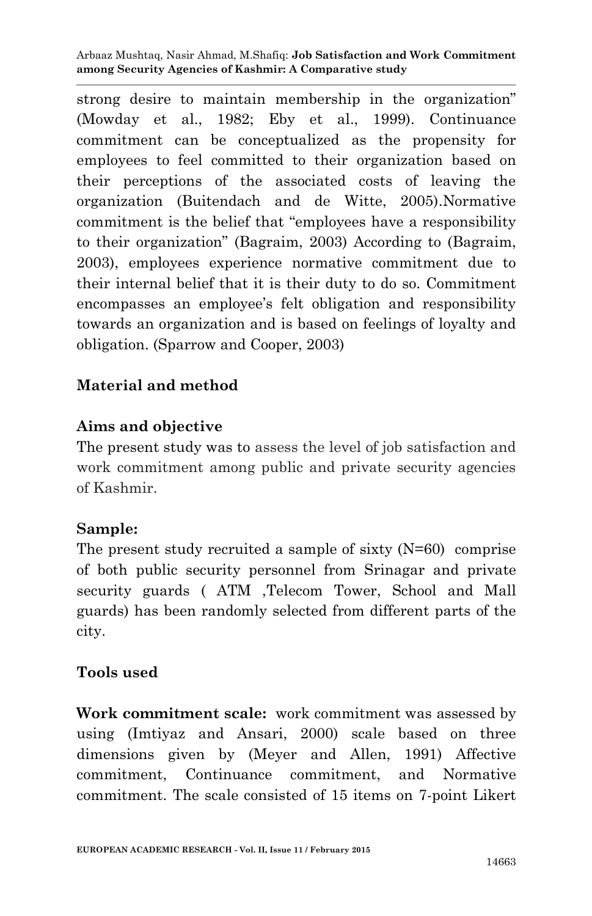strong desire to maintain membership in the organization" (Mowday et al., 1982; Eby et al., 1999). Continuance commitment can be conceptualized as the propensity for employees to feel committed to their organization based on their perceptions of the associated costs of leaving the organization (Buitendach and de Witte, 2005).Normative commitment is the belief that "employees have a responsibility to their organization" (Bagraim, 2003) According to (Bagraim, 2003), employees experience normative commitment due to their internal belief that it is their duty to do so. Commitment encompasses an employee's felt obligation and responsibility towards an organization and is based on feelings of loyalty and obligation. (Sparrow and Cooper, 2003)

#### **Material and method**

#### **Aims and objective**

The present study was to assess the level of job satisfaction and work commitment among public and private security agencies of Kashmir.

## **Sample:**

The present study recruited a sample of sixty  $(N=60)$  comprise of both public security personnel from Srinagar and private security guards ( ATM ,Telecom Tower, School and Mall guards) has been randomly selected from different parts of the city.

#### **Tools used**

**Work commitment scale:** work commitment was assessed by using (Imtiyaz and Ansari, 2000) scale based on three dimensions given by (Meyer and Allen, 1991) Affective commitment, Continuance commitment, and Normative commitment. The scale consisted of 15 items on 7-point Likert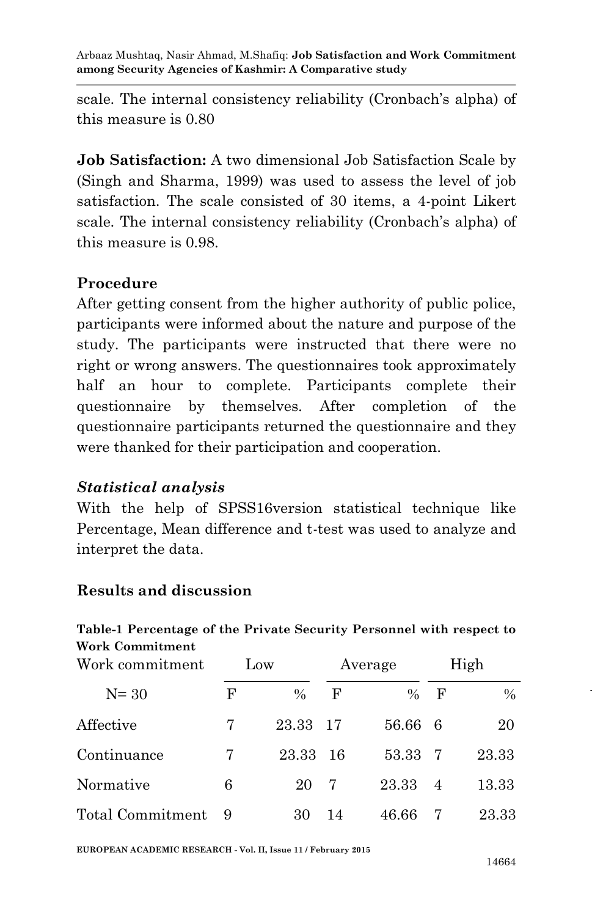scale. The internal consistency reliability (Cronbach's alpha) of this measure is 0.80

**Job Satisfaction:** A two dimensional Job Satisfaction Scale by (Singh and Sharma, 1999) was used to assess the level of job satisfaction. The scale consisted of 30 items, a 4-point Likert scale. The internal consistency reliability (Cronbach's alpha) of this measure is 0.98.

## **Procedure**

After getting consent from the higher authority of public police, participants were informed about the nature and purpose of the study. The participants were instructed that there were no right or wrong answers. The questionnaires took approximately half an hour to complete. Participants complete their questionnaire by themselves. After completion of the questionnaire participants returned the questionnaire and they were thanked for their participation and cooperation.

## *Statistical analysis*

With the help of SPSS16version statistical technique like Percentage, Mean difference and t-test was used to analyze and interpret the data.

## **Results and discussion**

#### **Table-1 Percentage of the Private Security Personnel with respect to Work Commitment**

| Work commitment  | Low |               | Average |         | High |       |
|------------------|-----|---------------|---------|---------|------|-------|
| $N = 30$         | F   | $\frac{0}{0}$ | F       | $\%$    | F    | $\%$  |
| Affective        | 7   | 23.33         | -17     | 56.66 6 |      | 20    |
| Continuance      |     | 23.33         | -16     | 53.33   | 7    | 23.33 |
| Normative        | 6   | 20            | 7       | 23.33   | -4   | 13.33 |
| Total Commitment | - 9 | 30            | 14      | 46.66   |      | 23.33 |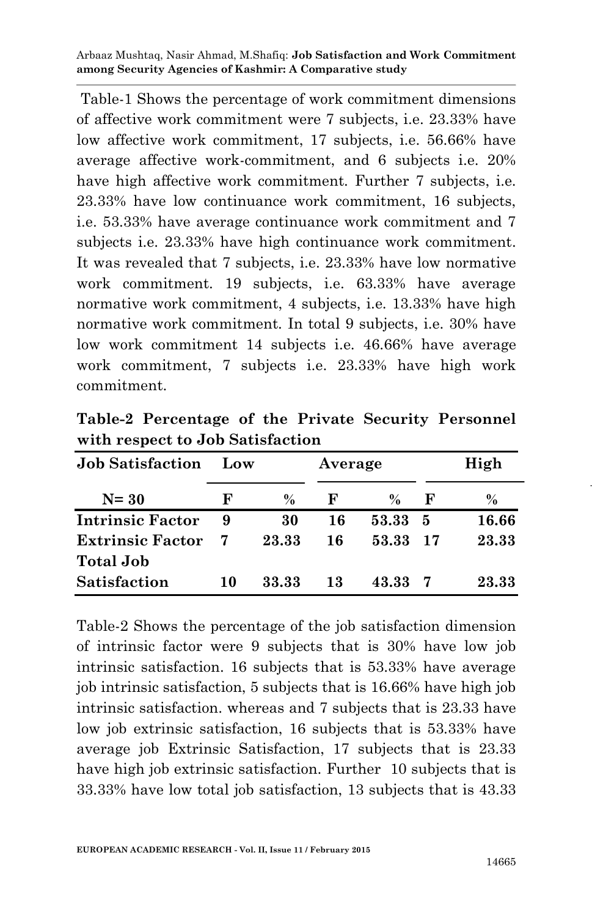Table-1 Shows the percentage of work commitment dimensions of affective work commitment were 7 subjects, i.e. 23.33% have low affective work commitment, 17 subjects, i.e. 56.66% have average affective work-commitment, and 6 subjects i.e. 20% have high affective work commitment. Further 7 subjects, i.e. 23.33% have low continuance work commitment, 16 subjects, i.e. 53.33% have average continuance work commitment and 7 subjects i.e. 23.33% have high continuance work commitment. It was revealed that 7 subjects, i.e. 23.33% have low normative work commitment. 19 subjects, i.e. 63.33% have average normative work commitment, 4 subjects, i.e. 13.33% have high normative work commitment. In total 9 subjects, i.e. 30% have low work commitment 14 subjects i.e. 46.66% have average work commitment, 7 subjects i.e. 23.33% have high work commitment.

**Table-2 Percentage of the Private Security Personnel with respect to Job Satisfaction**

| <b>Job Satisfaction</b> | Low |               | Average |       | High |       |  |
|-------------------------|-----|---------------|---------|-------|------|-------|--|
| $N = 30$                | F   | $\frac{0}{0}$ | F       | $\%$  | F    | $\%$  |  |
| <b>Intrinsic Factor</b> | 9   | 30            | 16      | 53.33 | 5    | 16.66 |  |
| <b>Extrinsic Factor</b> |     | 23.33         | 16      | 53.33 | -17  | 23.33 |  |
| <b>Total Job</b>        |     |               |         |       |      |       |  |
| Satisfaction            | 10  | 33.33         | 13      | 43.33 |      | 23.33 |  |

Table-2 Shows the percentage of the job satisfaction dimension of intrinsic factor were 9 subjects that is 30% have low job intrinsic satisfaction. 16 subjects that is 53.33% have average job intrinsic satisfaction, 5 subjects that is 16.66% have high job intrinsic satisfaction. whereas and 7 subjects that is 23.33 have low job extrinsic satisfaction, 16 subjects that is 53.33% have average job Extrinsic Satisfaction, 17 subjects that is 23.33 have high job extrinsic satisfaction. Further 10 subjects that is 33.33% have low total job satisfaction, 13 subjects that is 43.33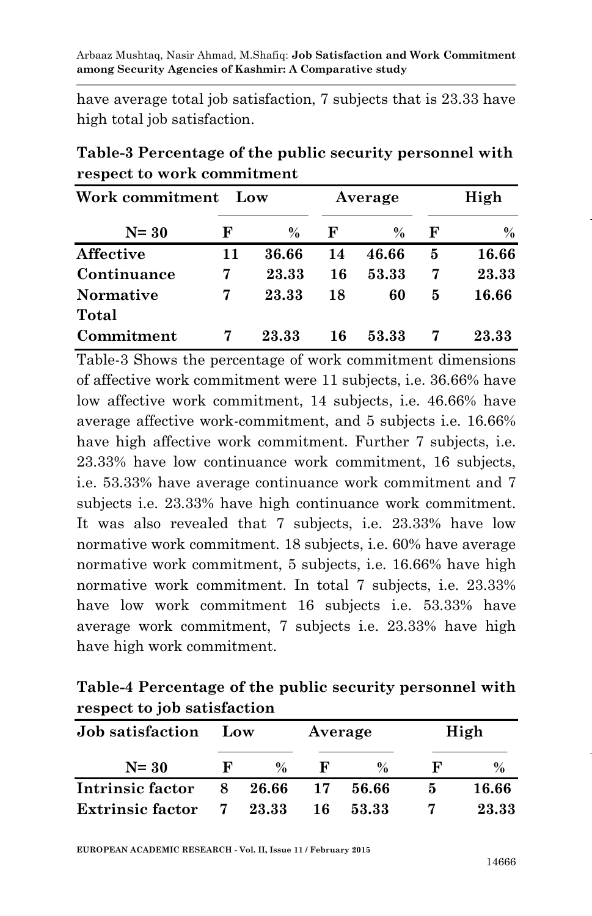have average total job satisfaction, 7 subjects that is 23.33 have high total job satisfaction.

| Work commitment<br>Low |    |               |    | Average       | High         |       |
|------------------------|----|---------------|----|---------------|--------------|-------|
| $N = 30$               | F  | $\frac{0}{0}$ | F  | $\frac{0}{0}$ | $\mathbf{F}$ | $\%$  |
| <b>Affective</b>       | 11 | 36.66         | 14 | 46.66         | 5            | 16.66 |
| Continuance            | 7  | 23.33         | 16 | 53.33         | 7            | 23.33 |
| <b>Normative</b>       |    | 23.33         | 18 | 60            | 5            | 16.66 |
| Total                  |    |               |    |               |              |       |
| Commitment             |    | 23.33         | 16 | 53.33         |              | 23.33 |

**Table-3 Percentage of the public security personnel with respect to work commitment**

Table-3 Shows the percentage of work commitment dimensions of affective work commitment were 11 subjects, i.e. 36.66% have low affective work commitment, 14 subjects, i.e. 46.66% have average affective work-commitment, and 5 subjects i.e. 16.66% have high affective work commitment. Further 7 subjects, *i.e.* 23.33% have low continuance work commitment, 16 subjects, i.e. 53.33% have average continuance work commitment and 7 subjects i.e. 23.33% have high continuance work commitment. It was also revealed that 7 subjects, i.e. 23.33% have low normative work commitment. 18 subjects, i.e. 60% have average normative work commitment, 5 subjects, i.e. 16.66% have high normative work commitment. In total 7 subjects, i.e. 23.33% have low work commitment 16 subjects i.e. 53.33% have average work commitment, 7 subjects i.e. 23.33% have high have high work commitment.

| Table-4 Percentage of the public security personnel with |  |
|----------------------------------------------------------|--|
| respect to job satisfaction                              |  |

| <b>Job</b> satisfaction |    | Low           |    | Average       |              | High          |  |
|-------------------------|----|---------------|----|---------------|--------------|---------------|--|
| $N = 30$                | н, | $\frac{0}{n}$ | H  | $\frac{0}{2}$ | $\mathbf{R}$ | $\frac{0}{0}$ |  |
| Intrinsic factor        | 8  | 26.66         | 17 | 56.66         | 'n           | 16.66         |  |
| <b>Extrinsic factor</b> |    | 7 23.33       | 16 | 53.33         |              | 23.33         |  |

**EUROPEAN ACADEMIC RESEARCH - Vol. II, Issue 11 / February 2015**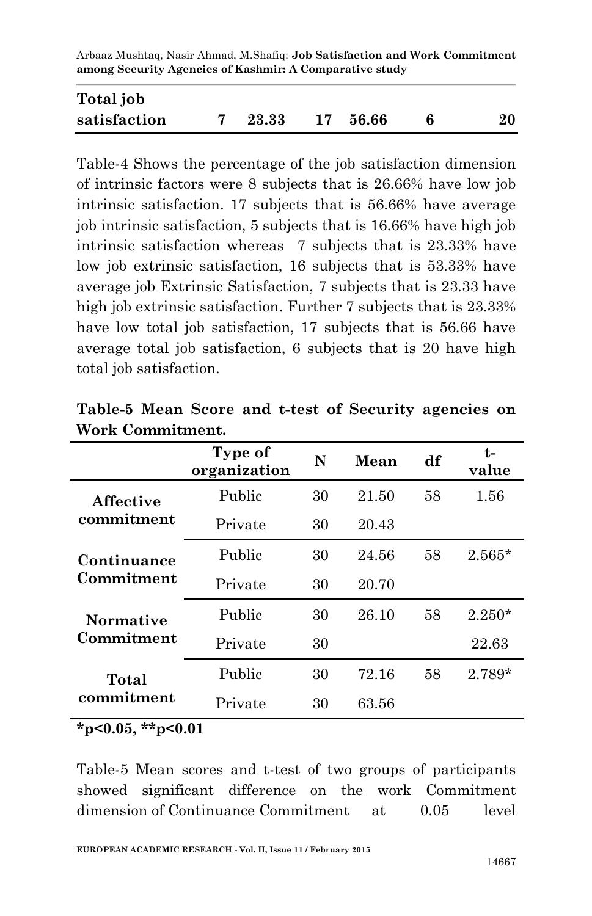| Total job    |       |          |    |
|--------------|-------|----------|----|
| satisfaction | 23.33 | 17 56.66 | 20 |

Table-4 Shows the percentage of the job satisfaction dimension of intrinsic factors were 8 subjects that is 26.66% have low job intrinsic satisfaction. 17 subjects that is 56.66% have average job intrinsic satisfaction, 5 subjects that is 16.66% have high job intrinsic satisfaction whereas 7 subjects that is 23.33% have low job extrinsic satisfaction, 16 subjects that is 53.33% have average job Extrinsic Satisfaction, 7 subjects that is 23.33 have high job extrinsic satisfaction. Further 7 subjects that is 23.33% have low total job satisfaction, 17 subjects that is 56.66 have average total job satisfaction, 6 subjects that is 20 have high total job satisfaction.

|                                | Type of<br>organization | N  | Mean  | df | t-<br>value |
|--------------------------------|-------------------------|----|-------|----|-------------|
| <b>Affective</b>               | Public                  | 30 | 21.50 | 58 | 1.56        |
| commitment                     | Private                 | 30 | 20.43 |    |             |
| Continuance<br>Commitment      | Public                  | 30 | 24.56 | 58 | $2.565*$    |
|                                | Private                 | 30 | 20.70 |    |             |
| <b>Normative</b><br>Commitment | Public                  | 30 | 26.10 | 58 | $2.250*$    |
|                                | Private                 | 30 |       |    | 22.63       |
| Total<br>commitment            | Public                  | 30 | 72.16 | 58 | $2.789*$    |
|                                | Private                 | 30 | 63.56 |    |             |

**Table-5 Mean Score and t-test of Security agencies on Work Commitment.**

**\*p<0.05, \*\*p<0.01**

Table-5 Mean scores and t-test of two groups of participants showed significant difference on the work Commitment dimension of Continuance Commitment at 0.05 level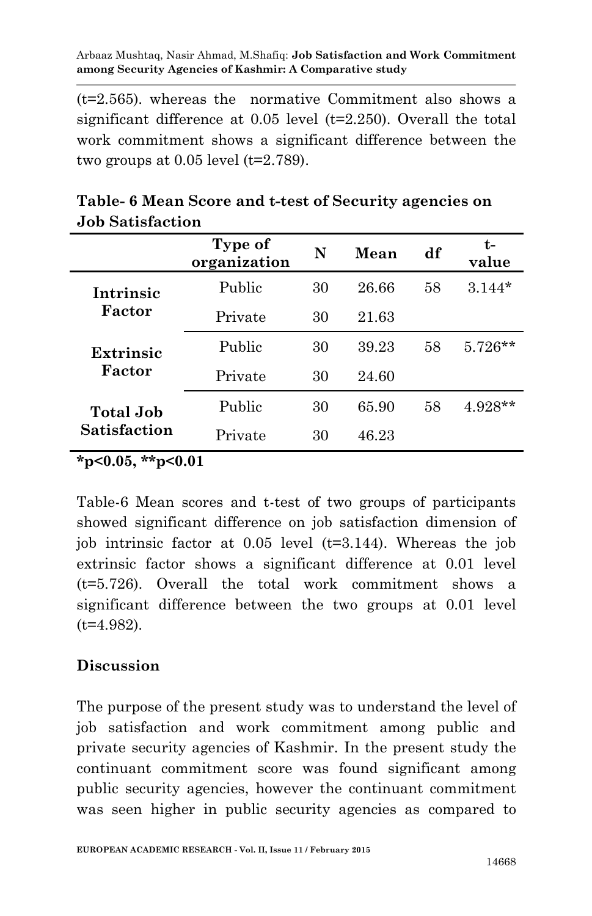(t=2.565). whereas the normative Commitment also shows a significant difference at  $0.05$  level  $(t=2.250)$ . Overall the total work commitment shows a significant difference between the two groups at  $0.05$  level  $(t=2.789)$ .

|                            | Type of<br>organization | N  | Mean  | df | $t-$<br>value |
|----------------------------|-------------------------|----|-------|----|---------------|
| Intrinsic<br>Factor        | Public                  | 30 | 26.66 | 58 | $3.144*$      |
|                            | Private                 | 30 | 21.63 |    |               |
| <b>Extrinsic</b><br>Factor | Public                  | 30 | 39.23 | 58 | $5.726**$     |
|                            | Private                 | 30 | 24.60 |    |               |
| Total Job<br>Satisfaction  | Public                  | 30 | 65.90 | 58 | 4.928**       |
|                            | Private                 | 30 | 46.23 |    |               |

**Table- 6 Mean Score and t-test of Security agencies on Job Satisfaction** 

**\*p<0.05, \*\*p<0.01**

Table-6 Mean scores and t-test of two groups of participants showed significant difference on job satisfaction dimension of job intrinsic factor at 0.05 level (t=3.144). Whereas the job extrinsic factor shows a significant difference at 0.01 level (t=5.726). Overall the total work commitment shows a significant difference between the two groups at 0.01 level  $(t=4.982)$ .

#### **Discussion**

The purpose of the present study was to understand the level of job satisfaction and work commitment among public and private security agencies of Kashmir. In the present study the continuant commitment score was found significant among public security agencies, however the continuant commitment was seen higher in public security agencies as compared to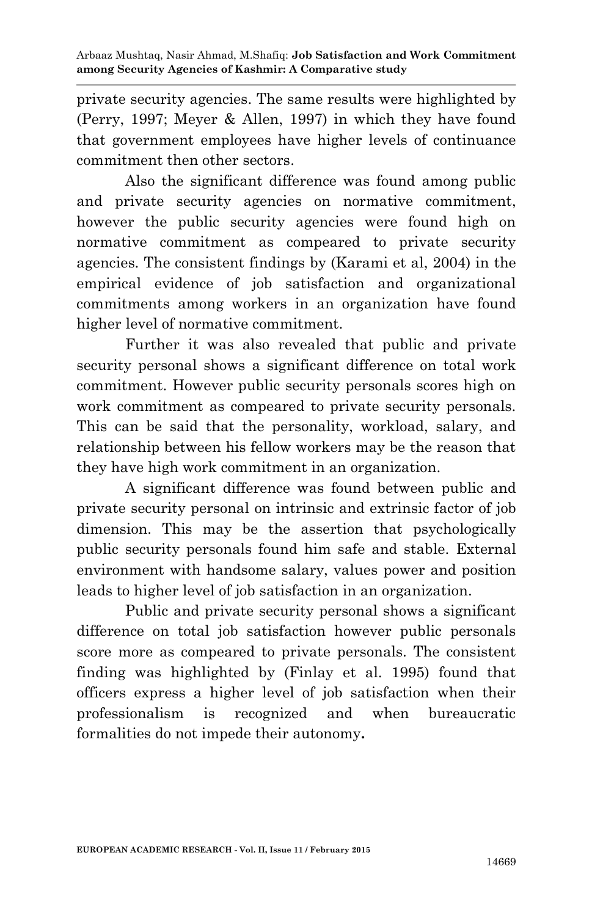private security agencies. The same results were highlighted by (Perry, 1997; Meyer & Allen, 1997) in which they have found that government employees have higher levels of continuance commitment then other sectors.

Also the significant difference was found among public and private security agencies on normative commitment, however the public security agencies were found high on normative commitment as compeared to private security agencies. The consistent findings by (Karami et al, 2004) in the empirical evidence of job satisfaction and organizational commitments among workers in an organization have found higher level of normative commitment.

Further it was also revealed that public and private security personal shows a significant difference on total work commitment. However public security personals scores high on work commitment as compeared to private security personals. This can be said that the personality, workload, salary, and relationship between his fellow workers may be the reason that they have high work commitment in an organization.

A significant difference was found between public and private security personal on intrinsic and extrinsic factor of job dimension. This may be the assertion that psychologically public security personals found him safe and stable. External environment with handsome salary, values power and position leads to higher level of job satisfaction in an organization.

Public and private security personal shows a significant difference on total job satisfaction however public personals score more as compeared to private personals. The consistent finding was highlighted by (Finlay et al. 1995) found that officers express a higher level of job satisfaction when their professionalism is recognized and when bureaucratic formalities do not impede their autonomy**.**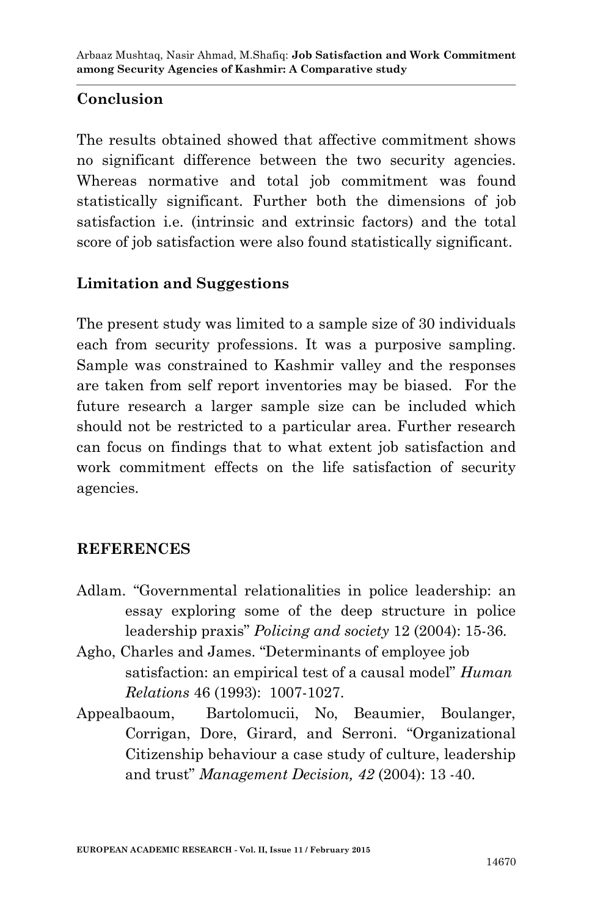### **Conclusion**

The results obtained showed that affective commitment shows no significant difference between the two security agencies. Whereas normative and total job commitment was found statistically significant. Further both the dimensions of job satisfaction i.e. (intrinsic and extrinsic factors) and the total score of job satisfaction were also found statistically significant.

## **Limitation and Suggestions**

The present study was limited to a sample size of 30 individuals each from security professions. It was a purposive sampling. Sample was constrained to Kashmir valley and the responses are taken from self report inventories may be biased. For the future research a larger sample size can be included which should not be restricted to a particular area. Further research can focus on findings that to what extent job satisfaction and work commitment effects on the life satisfaction of security agencies.

#### **REFERENCES**

- Adlam. "Governmental relationalities in police leadership: an essay exploring some of the deep structure in police leadership praxis" *Policing and society* 12 (2004): 15-36.
- Agho, Charles and James. "Determinants of employee job satisfaction: an empirical test of a causal model" *Human Relations* 46 (1993): 1007-1027.
- Appealbaoum, Bartolomucii, No, Beaumier, Boulanger, Corrigan, Dore, Girard, and Serroni. "Organizational Citizenship behaviour a case study of culture, leadership and trust" *Management Decision, 42* (2004): 13 -40.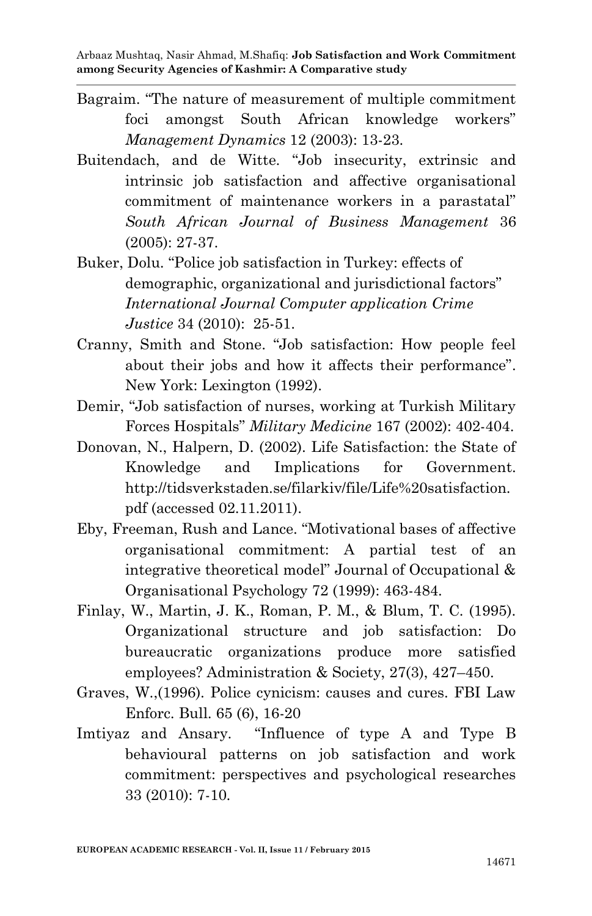- Bagraim. "The nature of measurement of multiple commitment foci amongst South African knowledge workers" *Management Dynamics* 12 (2003): 13-23.
- Buitendach, and de Witte. "Job insecurity, extrinsic and intrinsic job satisfaction and affective organisational commitment of maintenance workers in a parastatal" *South African Journal of Business Management* 36 (2005): 27-37.
- Buker, Dolu. "Police job satisfaction in Turkey: effects of demographic, organizational and jurisdictional factors" *International Journal Computer application Crime Justice* 34 (2010): 25-51.
- Cranny, Smith and Stone. "Job satisfaction: How people feel about their jobs and how it affects their performance". New York: Lexington (1992).
- Demir, "Job satisfaction of nurses, working at Turkish Military Forces Hospitals" *Military Medicine* 167 (2002): 402-404.
- Donovan, N., Halpern, D. (2002). Life Satisfaction: the State of Knowledge and Implications for Government. http://tidsverkstaden.se/filarkiv/file/Life%20satisfaction. pdf (accessed 02.11.2011).
- Eby, Freeman, Rush and Lance. "Motivational bases of affective organisational commitment: A partial test of an integrative theoretical model" Journal of Occupational & Organisational Psychology 72 (1999): 463-484.
- Finlay, W., Martin, J. K., Roman, P. M., & Blum, T. C. (1995). Organizational structure and job satisfaction: Do bureaucratic organizations produce more satisfied employees? Administration & Society, 27(3), 427–450.
- Graves, W.,(1996). Police cynicism: causes and cures. FBI Law Enforc. Bull. 65 (6), 16-20
- Imtiyaz and Ansary. "Influence of type A and Type B behavioural patterns on job satisfaction and work commitment: perspectives and psychological researches 33 (2010): 7-10.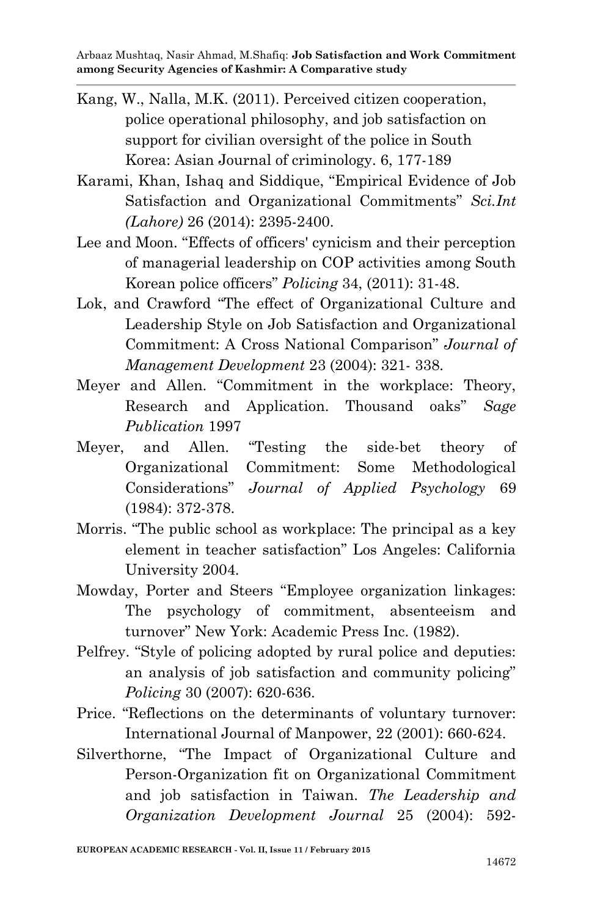- Kang, W., Nalla, M.K. (2011). Perceived citizen cooperation, police operational philosophy, and job satisfaction on support for civilian oversight of the police in South Korea: Asian Journal of criminology. 6, 177-189
- Karami, Khan, Ishaq and Siddique, "Empirical Evidence of Job Satisfaction and Organizational Commitments" *Sci.Int (Lahore)* 26 (2014): 2395-2400.
- Lee and Moon. "Effects of officers' cynicism and their perception of managerial leadership on COP activities among South Korean police officers" *Policing* 34, (2011): 31-48.
- Lok, and Crawford "The effect of Organizational Culture and Leadership Style on Job Satisfaction and Organizational Commitment: A Cross National Comparison" *Journal of Management Development* 23 (2004): 321- 338.
- Meyer and Allen. "Commitment in the workplace: Theory, Research and Application. Thousand oaks" *Sage Publication* 1997
- Meyer, and Allen. "Testing the side-bet theory of Organizational Commitment: Some Methodological Considerations" *Journal of Applied Psychology* 69 (1984): 372-378.
- Morris. "The public school as workplace: The principal as a key element in teacher satisfaction" Los Angeles: California University 2004.
- Mowday, Porter and Steers "Employee organization linkages: The psychology of commitment, absenteeism and turnover" New York: Academic Press Inc. (1982).
- Pelfrey. "Style of policing adopted by rural police and deputies: an analysis of job satisfaction and community policing" *Policing* 30 (2007): 620-636.
- Price. "Reflections on the determinants of voluntary turnover: International Journal of Manpower, 22 (2001): 660-624.
- Silverthorne, "The Impact of Organizational Culture and Person-Organization fit on Organizational Commitment and job satisfaction in Taiwan. *The Leadership and Organization Development Journal* 25 (2004): 592-